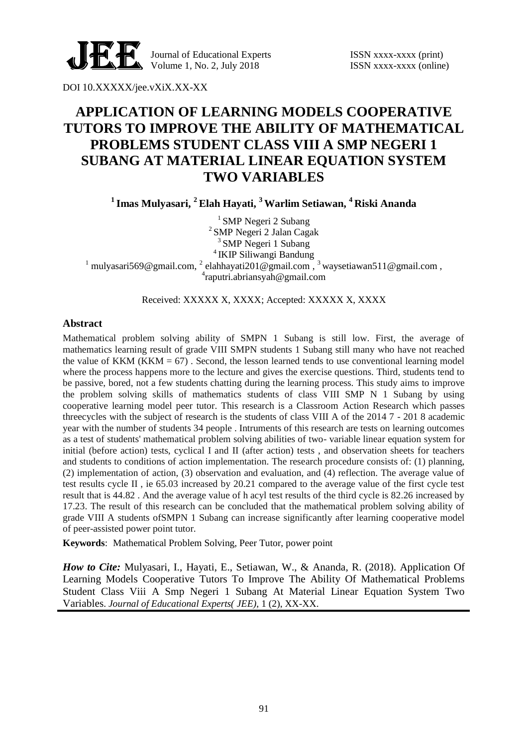

Journal of Educational Experts ISSN xxxx-xxxx (print) Volume 1, No. 2, July  $2018$  ISSN xxxx-xxxx (online)

DOI 10.XXXXX/jee.vXiX.XX-XX

# **APPLICATION OF LEARNING MODELS COOPERATIVE TUTORS TO IMPROVE THE ABILITY OF MATHEMATICAL PROBLEMS STUDENT CLASS VIII A SMP NEGERI 1 SUBANG AT MATERIAL LINEAR EQUATION SYSTEM TWO VARIABLES**

**1 Imas Mulyasari, <sup>2</sup>Elah Hayati, <sup>3</sup>Warlim Setiawan, <sup>4</sup> Riski Ananda**

<sup>1</sup> SMP Negeri 2 Subang 2 SMP Negeri 2 Jalan Cagak <sup>3</sup> SMP Negeri 1 Subang 4 IKIP Siliwangi Bandung <sup>1</sup> mulyasari569@gmail.com, <sup>2</sup> elahhayati201@gmail.com, <sup>3</sup> waysetiawan511@gmail.com, 4 raputri.abriansyah@gmail.com

Received: XXXXX X, XXXX; Accepted: XXXXX X, XXXX

### **Abstract**

Mathematical problem solving ability of SMPN 1 Subang is still low. First, the average of mathematics learning result of grade VIII SMPN students 1 Subang still many who have not reached the value of KKM ( $KKM = 67$ ). Second, the lesson learned tends to use conventional learning model where the process happens more to the lecture and gives the exercise questions. Third, students tend to be passive, bored, not a few students chatting during the learning process. This study aims to improve the problem solving skills of mathematics students of class VIII SMP N 1 Subang by using cooperative learning model peer tutor. This research is a Classroom Action Research which passes threecycles with the subject of research is the students of class VIII A of the 2014 7 - 201 8 academic year with the number of students 34 people . Intruments of this research are tests on learning outcomes as a test of students' mathematical problem solving abilities of two- variable linear equation system for initial (before action) tests, cyclical I and II (after action) tests , and observation sheets for teachers and students to conditions of action implementation. The research procedure consists of: (1) planning, (2) implementation of action, (3) observation and evaluation, and (4) reflection. The average value of test results cycle II , ie 65.03 increased by 20.21 compared to the average value of the first cycle test result that is 44.82 . And the average value of h acyl test results of the third cycle is 82.26 increased by 17.23. The result of this research can be concluded that the mathematical problem solving ability of grade VIII A students ofSMPN 1 Subang can increase significantly after learning cooperative model of peer-assisted power point tutor.

**Keywords**: Mathematical Problem Solving, Peer Tutor, power point

*How to Cite: Mulyasari, I., Hayati, E., Setiawan, W., & Ananda, R. (2018). Application Of* Learning Models Cooperative Tutors To Improve The Ability Of Mathematical Problems Student Class Viii A Smp Negeri 1 Subang At Material Linear Equation System Two Variables. *Journal of Educational Experts( JEE)*, 1 (2), XX-XX.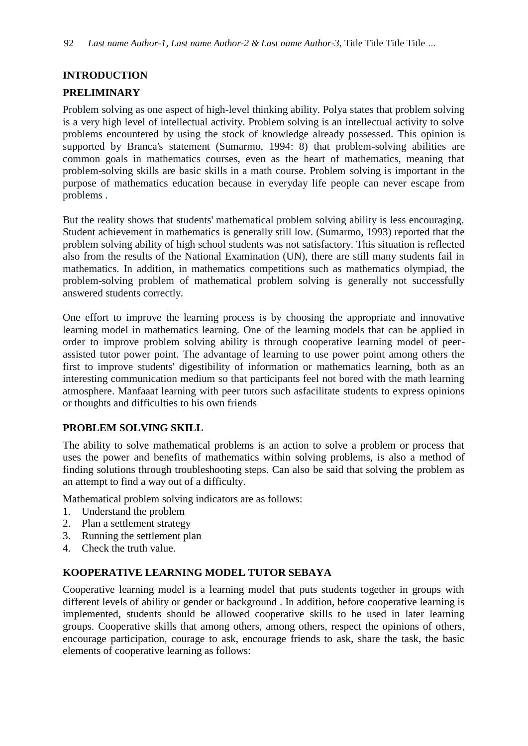# **INTRODUCTION**

# **PRELIMINARY**

Problem solving as one aspect of high-level thinking ability. Polya states that problem solving is a very high level of intellectual activity. Problem solving is an intellectual activity to solve problems encountered by using the stock of knowledge already possessed. This opinion is supported by Branca's statement (Sumarmo, 1994: 8) that problem-solving abilities are common goals in mathematics courses, even as the heart of mathematics, meaning that problem-solving skills are basic skills in a math course. Problem solving is important in the purpose of mathematics education because in everyday life people can never escape from problems .

But the reality shows that students' mathematical problem solving ability is less encouraging. Student achievement in mathematics is generally still low. (Sumarmo, 1993) reported that the problem solving ability of high school students was not satisfactory. This situation is reflected also from the results of the National Examination (UN), there are still many students fail in mathematics. In addition, in mathematics competitions such as mathematics olympiad, the problem-solving problem of mathematical problem solving is generally not successfully answered students correctly.

One effort to improve the learning process is by choosing the appropriate and innovative learning model in mathematics learning. One of the learning models that can be applied in order to improve problem solving ability is through cooperative learning model of peerassisted tutor power point. The advantage of learning to use power point among others the first to improve students' digestibility of information or mathematics learning, both as an interesting communication medium so that participants feel not bored with the math learning atmosphere. Manfaaat learning with peer tutors such asfacilitate students to express opinions or thoughts and difficulties to his own friends

## **PROBLEM SOLVING SKILL**

The ability to solve mathematical problems is an action to solve a problem or process that uses the power and benefits of mathematics within solving problems, is also a method of finding solutions through troubleshooting steps. Can also be said that solving the problem as an attempt to find a way out of a difficulty.

Mathematical problem solving indicators are as follows:

- 1. Understand the problem
- 2. Plan a settlement strategy
- 3. Running the settlement plan
- 4. Check the truth value.

## **KOOPERATIVE LEARNING MODEL TUTOR SEBAYA**

Cooperative learning model is a learning model that puts students together in groups with different levels of ability or gender or background . In addition, before cooperative learning is implemented, students should be allowed cooperative skills to be used in later learning groups. Cooperative skills that among others, among others, respect the opinions of others, encourage participation, courage to ask, encourage friends to ask, share the task, the basic elements of cooperative learning as follows: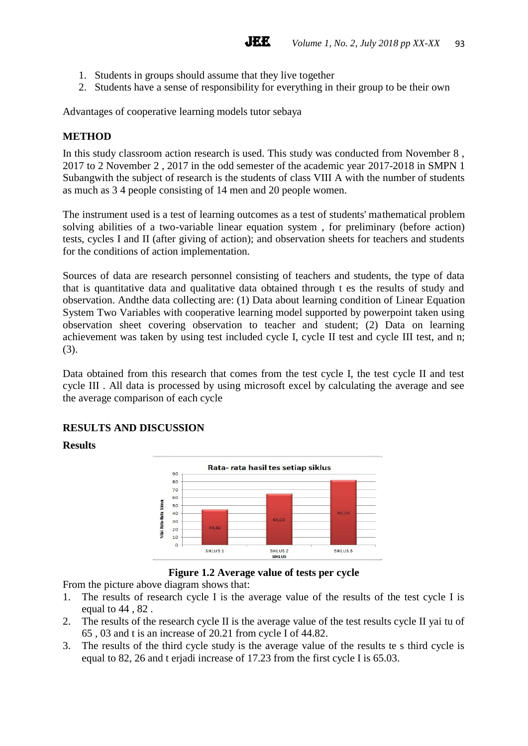- 1. Students in groups should assume that they live together
- 2. Students have a sense of responsibility for everything in their group to be their own

Advantages of cooperative learning models tutor sebaya

## **METHOD**

In this study classroom action research is used. This study was conducted from November 8 , 2017 to 2 November 2 , 2017 in the odd semester of the academic year 2017-2018 in SMPN 1 Subangwith the subject of research is the students of class VIII A with the number of students as much as 3 4 people consisting of 14 men and 20 people women.

The instrument used is a test of learning outcomes as a test of students' mathematical problem solving abilities of a two-variable linear equation system , for preliminary (before action) tests, cycles I and II (after giving of action); and observation sheets for teachers and students for the conditions of action implementation.

Sources of data are research personnel consisting of teachers and students, the type of data that is quantitative data and qualitative data obtained through t es the results of study and observation. Andthe data collecting are: (1) Data about learning condition of Linear Equation System Two Variables with cooperative learning model supported by powerpoint taken using observation sheet covering observation to teacher and student; (2) Data on learning achievement was taken by using test included cycle I, cycle II test and cycle III test, and n; (3).

Data obtained from this research that comes from the test cycle I, the test cycle II and test cycle III . All data is processed by using microsoft excel by calculating the average and see the average comparison of each cycle

## **RESULTS AND DISCUSSION**

### **Results**



### **Figure 1.2 Average value of tests per cycle**

From the picture above diagram shows that:

- 1. The results of research cycle I is the average value of the results of the test cycle I is equal to 44 , 82 .
- 2. The results of the research cycle II is the average value of the test results cycle II yai tu of 65 , 03 and t is an increase of 20.21 from cycle I of 44.82.
- 3. The results of the third cycle study is the average value of the results te s third cycle is equal to 82, 26 and t erjadi increase of 17.23 from the first cycle I is 65.03.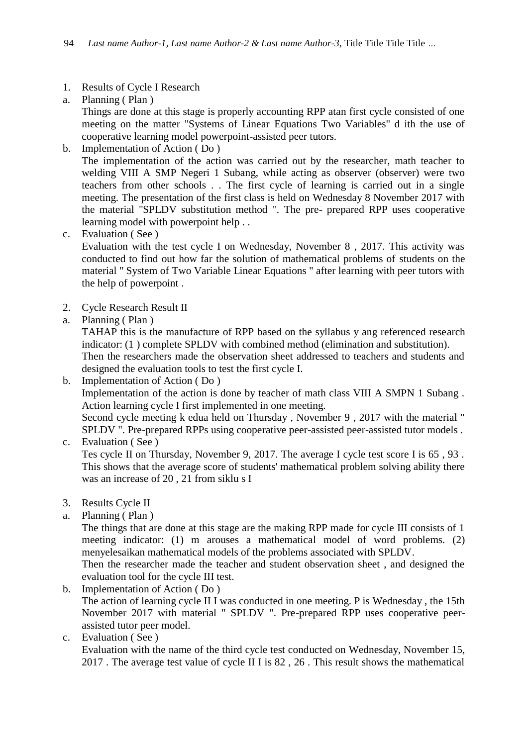## 1. Results of Cycle I Research

a. Planning ( Plan ) Things are done at this stage is properly accounting RPP atan first cycle consisted of one meeting on the matter "Systems of Linear Equations Two Variables" d ith the use of cooperative learning model powerpoint-assisted peer tutors.

- b. Implementation of Action ( Do ) The implementation of the action was carried out by the researcher, math teacher to welding VIII A SMP Negeri 1 Subang, while acting as observer (observer) were two teachers from other schools . . The first cycle of learning is carried out in a single meeting. The presentation of the first class is held on Wednesday 8 November 2017 with the material "SPLDV substitution method ". The pre- prepared RPP uses cooperative learning model with powerpoint help . .
- c. Evaluation ( See )

Evaluation with the test cycle I on Wednesday, November 8 , 2017. This activity was conducted to find out how far the solution of mathematical problems of students on the material " System of Two Variable Linear Equations " after learning with peer tutors with the help of powerpoint .

- 2. Cycle Research Result II
- a. Planning ( Plan )

TAHAP this is the manufacture of RPP based on the syllabus y ang referenced research indicator: (1 ) complete SPLDV with combined method (elimination and substitution).

Then the researchers made the observation sheet addressed to teachers and students and designed the evaluation tools to test the first cycle I.

b. Implementation of Action ( Do ) Implementation of the action is done by teacher of math class VIII A SMPN 1 Subang . Action learning cycle I first implemented in one meeting. Second cycle meeting k edua held on Thursday , November 9 , 2017 with the material " SPLDV ". Pre-prepared RPPs using cooperative peer-assisted peer-assisted tutor models .

c. Evaluation ( See ) Tes cycle II on Thursday, November 9, 2017. The average I cycle test score I is 65 , 93 . This shows that the average score of students' mathematical problem solving ability there was an increase of 20 , 21 from siklu s I

- 3. Results Cycle II
- a. Planning ( Plan )

The things that are done at this stage are the making RPP made for cycle III consists of 1 meeting indicator: (1) m arouses a mathematical model of word problems. (2) menyelesaikan mathematical models of the problems associated with SPLDV.

Then the researcher made the teacher and student observation sheet , and designed the evaluation tool for the cycle III test.

- b. Implementation of Action ( Do ) The action of learning cycle II I was conducted in one meeting. P is Wednesday , the 15th November 2017 with material " SPLDV ". Pre-prepared RPP uses cooperative peerassisted tutor peer model.
- c. Evaluation ( See )

Evaluation with the name of the third cycle test conducted on Wednesday, November 15, 2017 . The average test value of cycle II I is 82 , 26 . This result shows the mathematical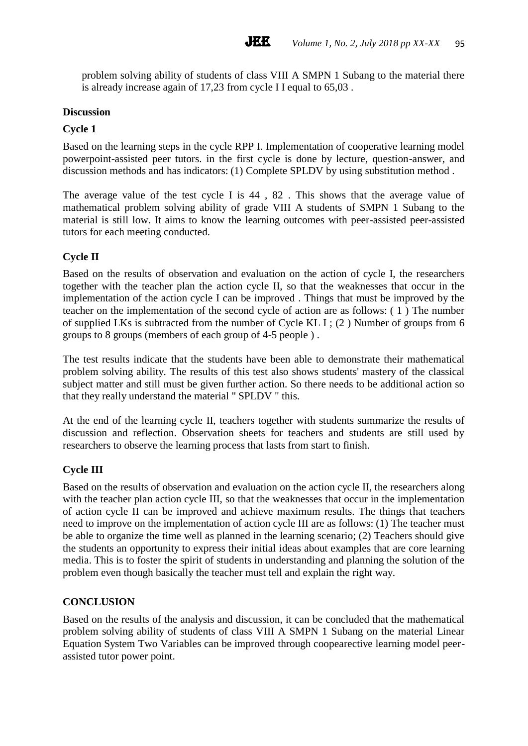problem solving ability of students of class VIII A SMPN 1 Subang to the material there is already increase again of 17,23 from cycle I I equal to 65,03 .

#### **Discussion**

#### **Cycle 1**

Based on the learning steps in the cycle RPP I. Implementation of cooperative learning model powerpoint-assisted peer tutors. in the first cycle is done by lecture, question-answer, and discussion methods and has indicators: (1) Complete SPLDV by using substitution method .

The average value of the test cycle I is 44 , 82 . This shows that the average value of mathematical problem solving ability of grade VIII A students of SMPN 1 Subang to the material is still low. It aims to know the learning outcomes with peer-assisted peer-assisted tutors for each meeting conducted.

### **Cycle II**

Based on the results of observation and evaluation on the action of cycle I, the researchers together with the teacher plan the action cycle II, so that the weaknesses that occur in the implementation of the action cycle I can be improved . Things that must be improved by the teacher on the implementation of the second cycle of action are as follows: ( 1 ) The number of supplied LKs is subtracted from the number of Cycle KL I ; (2 ) Number of groups from 6 groups to 8 groups (members of each group of 4-5 people ) .

The test results indicate that the students have been able to demonstrate their mathematical problem solving ability. The results of this test also shows students' mastery of the classical subject matter and still must be given further action. So there needs to be additional action so that they really understand the material " SPLDV " this.

At the end of the learning cycle II, teachers together with students summarize the results of discussion and reflection. Observation sheets for teachers and students are still used by researchers to observe the learning process that lasts from start to finish.

### **Cycle III**

Based on the results of observation and evaluation on the action cycle II, the researchers along with the teacher plan action cycle III, so that the weaknesses that occur in the implementation of action cycle II can be improved and achieve maximum results. The things that teachers need to improve on the implementation of action cycle III are as follows: (1) The teacher must be able to organize the time well as planned in the learning scenario; (2) Teachers should give the students an opportunity to express their initial ideas about examples that are core learning media. This is to foster the spirit of students in understanding and planning the solution of the problem even though basically the teacher must tell and explain the right way.

#### **CONCLUSION**

Based on the results of the analysis and discussion, it can be concluded that the mathematical problem solving ability of students of class VIII A SMPN 1 Subang on the material Linear Equation System Two Variables can be improved through coopearective learning model peerassisted tutor power point.